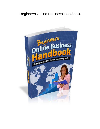# Beginners Online Business Handbook

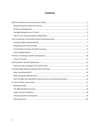# **Contents**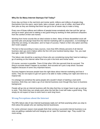#### <span id="page-2-0"></span>**Why Do So Many Internet Startups Fail Today?**

Every day out there in the real brick and mortar world, millions and millions of people drag themselves from the warm, warm beds, take a shower, grab a cup of coffee, and head off to their jobs as they are thinking that there has got to be an easier way to make a living.

Every one of those millions and millions of people knows somebody who has quit the 'get-upand-go-to-work' grind and is making a very good living by working on their personal computers from the comfort of their own homes.

Working from home sounds like an ideal solution to them. Many of these dissatisfied souls will quit their jobs and plunge head-first into internet marketing with no preparation, no knowledge of what they are doing, no education, and no hope of success. Failure is their only option and they don't even suspect.

The fact is that according to many sources, more than 90% (Ninety percent) of all Internet business start-ups end in failure within the first 120 (one hundred twenty) days. Yes, you read that right. NINETY PERCENT!

This failure rate should be a warning to those who are considering trying their hand at making a go of working on the Internet rather than at a job in the brick and mortar world.

Of course, success is possible. There IS that other 10% (ten percent) that do succeed. The thing is success doesn't happen by accident. And success isn't just a crap shoot. Success happens because of some very important factors.

Success happens because people have the right ideas about internet marketing and how it works. They do not expect to get rich quick or be able to make a killing over night and retire to a tropical isle.

It is strange but somehow the same people who wouldn't dream of starting a real world business, think they can make a go of an internet business even though they have no business background.

People will go into an internet business with the idea that they no longer have to get up and go to work. They think they can simply work when the feel like it and still make a good living. They simply do not expect to have to work hard or work long hours.

## <span id="page-2-1"></span>**Wrong Perceptions about the Internet**

The 90% failure rate of new Internet businesses really isn't all that surprising when you stop to think about the people who are starting internet businesses.

For some unknown reason most people think that running a successful internet business is as easy as getting a website built and hanging out an 'open for business' sign. They couldn't be more wrong.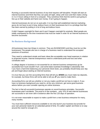Running a successful internet business of any kind requires self-discipline. People will start an internet business and think that they can party all night, sleep until noon and then make a living in 3 or 4 hours sitting in front of a computer. They somehow think that the world is just going to line up on their website and hand over money. It isn't going to happen.

Internet businesses do not run on auto-pilot. It is true that well established internet marketing gurus do not have to put in long, tedious hours on their businesses but it is a privilege that that has been earned by putting in a lot of long and tedious hours.

It didn't happen overnight for them and it won't happen overnight for anybody. Most people are totally unprepared for the time investment that must be made in order for an internet business to become successful.

## <span id="page-3-0"></span>**No Business Background**

All businesses have two things in common. They are BUSINESSES and they must be run like businesses! The people who are in charge of a business need to understand the accepted practices of business.

They need to understand simple and basic ideas like acceptable over-head expenses in relation to projected income. Internet entrepreneurs need to understand profit and loss and what constitutes each.

A college degree in business in not essential for an internet business entrepreneur go be successful but it sure wouldn't hurt. Just some basic business knowledge is absolutely vital. f you have a hard time balancing your personal check book, you probably should keep your day job and forget about starting an internet business.

It is true that you can hire accounting firms that will tell you *WHEN* you must make tax deposits, for example, but these firms will not be able to tell you *IF* you need to make them.

Accounting firms can tell you whether or not you made a profit but not how to make it. If you have no business background you need to, at the very minimum, get some good business advice before you even consider opening an online business.

The fact is that all successful businesses operate on sound business principles. Successful businesses aren't accidents. The proof is in the numbers....only 10% of new internet businesses are successful or are even still in existence after the first 120 days of operation.

It is not even reasonable to expect to make a profit from a new business enterprise for many, many months.

You must have sufficient resources available to not only launch your business but provide for your own personal needs for an extended period of time. It's called 'capital' and there is no way around the need for enough of it.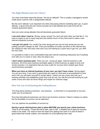# <span id="page-4-0"></span>**The Right Mindset Just Isn't There!**

You have most likely heard the phrase, 'He has an attitude!" This is usually a derogatory remark made about a person with a disagreeable attitude.

But the word 'attitude' is an important one when discussing internet marketing start-ups. A good attitude...a good mind set can't insure success but a bad attitude and a bad mind set can certainly guarantee failure.

Here are some wrong attitudes that will absolutely guarantee failure:

**I can work when I want to.** Wrong, wrong, wrong! You can't just work when you feel like it. You have to expect to put in many long and very tedious hours of very hard work to make a new internet enterprise succeed.

**I can get rich quick!** You couldn't be more wrong and you are not only wrong but you are putting yourself in danger as well. There are bazillions of crooks out there on the internet who are waiting for their next easy mark and if you are looking for a quick way to get rich, you ARE the next mark.

It is possible to make a very comfortable living with internet marketing enterprises but if anybody ever tells you it is quick or easy, they are lying to you.

**I don't need a business plan.** There you are...wrong yet again. Internet business is still business. All of the same business principles apply to online business as apply to brick and mortar business. It is imperative that you have a plan for success that is based upon these sound business principles.

**When you have an internet business of your own, you don't have a boss.** Wrong again! You are your boss. If you aren't a good boss who sees to it that work is accomplished on time and in full, you will doom yourself to certain failure. Unless you are a boss who sets up a working schedule and establishes goals that must be met, you will find yourself working at a job under a boss who does do those things and maybe for minimum wage.

## <span id="page-4-1"></span>**How You Can Avoid Joining the Failing Masses**

The thing about starting a business...any business.....is that there is no guarantee of success under any circumstances.

Even big international businesses can fail at new business ventures. Failure is always an option but the possibility of success can be optimized.

You can optimize the possibility of success by:

#### **Having a good solid business plan in place BEFORE you launch your online business.** There is an old saying: "Those who fail to plan, plan to fail". A detailed set of plans for success needs to be made. You need to have the steps from getting from point A to point B listed in great detail that include realistic cost estimates for accomplishing each step.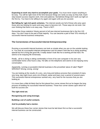**Expecting to work very hard to accomplish your goals.** You must never expect anything to be easy. You will be right most of the time because things are rarely as easy as they look. Each step toward success requires work, time and patience. Sometimes things don't work out right on the first try. You have to be willing to try again and again until you do succeed.

**Not falling for 'get-rich-quick schemes.** The internet woods are full of those who prey upon those who are looking for quick and easy ways to become rich. Those ways do not exist. Get over thinking that there is an easy way. There is NOT.

Remember those statistics! Ninety percent of all new internet businesses fail in the first 120 days. You don't have to be part of that majority. You can become a part of that 10% minority of successful internet business enterprises.

## <span id="page-5-0"></span>**The Cornerstones of Successful Internet Entrepreneurship**

Running a successful internet business can look so simple when you are on the outside looking in. You look at a successful internet entrepreneur and he doesn't look like he is doing anything special but he is living the good life. It really doesn't look like he is working all that hard. He seems to be enjoying life immensely.

Really...all he is doing is sitting comfortably in front of his own computer in his own very comfortable home a few hours a day. He talks on the telephone and seems to be enjoying every conversation.

Apparently, running a successful internet business is the proverbial 'piece of cake'! Right? WRONG!!! Wrong, wrong, wrong!

You are looking at the results of a very, very long and tedious process that consisted of many very long, late-night hours and a lot of blood, sweat and tears over a period of several years. This successful internet entrepreneur worked very, very hard for the success that you are looking at.

It is more than a little bit likely that he first placed four corner stones first as he began the long process of building his successful Internet business. Those four corner stones upon which he built his success are:

#### **The right mind set.**

#### **Recognizing and using leverage.**

#### **Building a set of useful contacts.**

#### **And he probably had a mentor.**

We will discuss these four corner stones that must be laid down first so that a successful internet business can be constructed.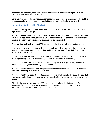All of them are important, even crucial to the success of any business but especially to the success of an internet based business.

Constructing a successful business in cyber space has many things in common with the building of a successful brick and mortar business but there are significant differences as well.

# <span id="page-6-0"></span>**Having the Right, Healthy Mindset**

The success of any business both of the online variety as well as the off line variety require the right mindset from the get-go.

A right and healthy mind set will not guarantee success but a wrong and unhealthy or unrealistic mindset will most assuredly guarantee failure. So the right mind set is the first corner stone that must be laid upon which a successful business can be constructed.

What is a right and healthy mindset? There are things that it is as well as things that it isn't.

A right and healthy mindset IS the willingness to work as hard and as long as is necessary to achieve the goals that has been set. A right and healthy mindset ISN'T the belief that success will be easy, quick or painless.

Those who believe that they can make an internet business enterprise thrive without having to actually put in any time or effort are simply doomed to failure from the beginning.

There are schemers and scammers out there in cyberspace that are just waiting eagerly for those to come along who are looking for easy riches.

A right and healthy mindset IS the willingness to take the time to make a good, solid business plan that is based upon sound business principles.

A right and healthy mindset ISN'T just jumping in feet first and hoping for the best. The best that can happen under those circumstances is that you get out with anymore than two cents to your name.

'Flying by the seat of your pants' is NOT a plan...it is just plain suicide in the world of internet marketing. If you don't have a formal education in business, you need to find people who do have that kind of education and seek then follow their advice.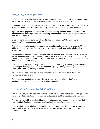# <span id="page-7-0"></span>**Recognizing and Using Leverage**

There are dozens...maybe hundreds....of business models out there. Some are, of course, more successful than others but they all come with their own set of pros and cons.

The idea is to get the most bang for the buck. You need to use all of the power of the Internet to make your e-business successful. You really cannot afford to leave any stone unturned.

If you are a real go-getter, the temptation is to do everything first and that isn't possible. You need to make a realistic plan and build one thing upon another until you have a good solid base from which to operate.

Once you get a website built, you will need to begin leveraging SEO (search engine optimization) and gaining page rank.

One thing does lead to another, of course, but one of the quickest ways to leverage SEO is to add a blog to your website. This is a way that you can get much more quickly indexed by the search engines.

Leveraging also includes branding yourself, your website and your products. One of the quicker ways to begin to get yourself branded is by investing in PLR (Private Label Rights) products and changing the names of those products to include your own name or logo. (Don't forget that there must be some rewriting done.)

This is probably the quickest way to become branded as well as gain credibility on the internet. For example: you might by a PLR E-Book about Easy Dog Training and change the name to 'John Doe's Easy Dog Training Methods'.

You can sell the book, give it away as a free gift on your own website or list it in E-Book repositories for others to use.

Remember that reputation and credibility are everything on the internet. Don't take any shortcuts and never damage or allow others to damage either.

## <span id="page-7-1"></span>**It Is Not What You Know, But Who You Know**

That is an old saying. "It is not What you know, but Who you know that counts". Setting a corner stone of good solid relationships is an important aspect of building a successful e-enterprise.

Working hard at building good solid business relationships is worth every minute of time that you invest in it. Business relationship building should be one of your top priorities.

When you build social relationships, you insert yourself into social situations where you come in contact with people who have interests that are similar to or complimentary to your own interests don't you?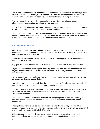That is precisely the same way that business relationships are established. You insert yourself into business situations where you will meet others who have businesses that are similar to or complimentary to your own business. You develop relationships over a period of time.

There are several ways in which to accomplish this task. One way is to participate in teleseminars or webinars that are related to your business.

You will learn a lot, of course, but equally important, you will come in contact with those who are already succeeding in the niche market that you are working in.

Of course, attending real brick and mortar world seminars is an even better way to begin to build friendly business relationships with not only your peers but also with those who are in a position to help you....which brings me to the final corner stone that you need to lay.

## <span id="page-8-0"></span>**Find a Capable Mentor**

It isn't likely that there is a more valuable asset that a new e-entrepreneur can have than a good and capable mentor. Someone who has already made all of the mistakes can help you to avoid making all of the mistakes yourself.

They have the wisdom that comes from experience to point out pitfalls and to help direct you toward the better of choices.

Why, you ask, would anyone who has it made want to take their time to help a newbie succeed?

Maybe I can answer that by telling you about my friend who is an accomplished musician. He played with some of the biggest stars in the business. He is a very, very fine guitarist who is now in his 70's.

He has about three young guitarists that he spends many hours not only teaching how to play but counseling them on career choices.

I asked him why he spent so much time doing that and he said, "It is like gaining immortality. If I teach them and they teach others, then what I know lives forever."

Successful internet marketers want that 'immortality' as well. The ones who are the very most successful are the ones, amazingly enough, who are the most likely to mentor an up and coming e-entrepreneur.

Of course, these successful internet marketers are not going to be interested in wasting their time on a person who has not already worked hard to lay those first three corner stones themselves.

These potential mentors are looking for new comers who show that they have a right and healthy mindset, who are working hard at leveraging and who are well aware of how important it is to know all the players and the RIGHT people.

It short, the new comer most likely to get a mentor is one who is already working hard and helping himself and not looking for someone who can just smooth the way for him.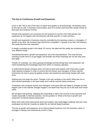#### <span id="page-9-0"></span>**The Key to Continuous Growth and Expansion**

Grow or die! This is one of the laws of nature that applies to all living things. All business lives by this law as well. A business cannot begin, grow to a certain point and then simply remain at that point and continue to thrive.

Growth and expansion are necessary for the business to survive and if that growth and expansion do not happen then the business will fade and die or crash and burn.

Growth and expansion of business must be controlled by the business owners or managers. If growth is too slow, the business lags behind the competition. If growth is too fast, the business can easily become over extended.

A steady controlled growth is the ideal. Of course, the ideal and the reality are sometimes two very different things.

Sometimes the terms 'growth and expansion' are a bit misunderstood. The most obvious meaning of both terms is to get bigger and broader but those meanings are not the only ones that apply.

Growth, for example, can mean gaining knowledge and becoming wiser and expansion can mean broadening the knowledge base from which a company operates.

A small internet based company does not have to grow and expand until it becomes a giant multi-national company in order to survive but the owners and managers of these internet businesses do have to grow by getting smarter and expand by welcoming change with open arms.

Nothing ever just stays the same. Change is the only certainty in the world. What was hot or what worked yesterday is old news today and it will be ancient history tomorrow.

Companies and company owners and managers must grow with and adapt to changes as they happen and on the internet changes happen a lot faster than they do out in the brick and mortar world.

We all agree that growing, adapting and expanding is vital to the survival of any business and maybe especially to Internet business. So the question is: What is the key to growth and expansion of internet based businesses?

When brick and mortar businesses grow and expand, they build bigger buildings and hire more employees but that isn't exactly an option for an internet based business.

The key to growth and expansion of an internet based business is for the business owner or manager to always and continuously invest in them.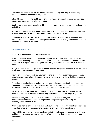They must be willing to stay on the cutting edge of technology and they must be willing to accept and adapt to changes as they occur.

Internet businesses are not buildings. Internet businesses are people. An internet business cannot grow by investing in a larger building.

It only grows when the person who is driving that business invests in his or her own knowledge and ability.

An internet business cannot expand by investing in hiring more people. An internet business expands when the person who is driving it invests in himself or herself.

The bottom line is this: The key to continuous growth and expansion of an internet based business is continuous investments being made in the owner or manager of the business. The short answer: **Invest in yourself**.

## <span id="page-10-0"></span>**Invest in Yourself**

You have no doubt heard this refrain many times.

"Invest in yourself! Invest in yourself! Invest is yourself!" But what does 'invest in yourself mean'? Does it mean you should go out and invest in a haircut that costs two hundred bucks? Does it mean that you should go by yourself a designer suit? What does it mean to invest in yourself?

Well, if you can afford it, go get that haircut and buy that designer suit but that is not the kind of investment that we are talking about here.

Your internet business is just you, your computer and your internet connection and you could actually operate your internet business from any commuter on the planet that had an internet connection.

So basically, your business is really only you. Your business is based only upon your own knowledge and your own ability. Those are the 'company' assets and those are the ones that need to grow and expand constantly so that your internet business thrives.

Here is a rule that you might want to live by to insure that your internet business is a success and continues to be a success: Invest 5% of your time and income into improving yourself.

Expansion and growth are imperative to survival and expansion and growth of an internet business means expanding and growing the knowledge of the person running the company...that would be YOU.

A tiny investment of only 5% of your time and your income per year in yourself can mean that you will continue to see positive monetary returns for many, many years to come.

You might be sitting there shaking your head and still wondering what is meant by a 5% time and income investment per year in yourself. What is meant is that you must expand your knowledge.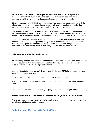You must stay on top of new technological advancements and you must expand your knowledge base about your own area of expertise. Things change fast. New information becomes available on almost everything under the sun every day of the week.

It is very, very easy to fall behind very, very quickly. And unless you consciously put forth the effort to stay on top of things you will most certainly fall behind. Keeping up is easier than catching up and if you keep up, you can usually find a way to forge ahead.

Yes, you are so busy right now that you could use 48 hour days but taking just about one hour per day out of the 24 that you are allotted and only \$5 out of every hundred dollars that you earn and investing that time and money in yourself can increase your future earnings a hundred fold.

There are newsletters, webinars, teleseminars and real brick and mortar seminars that can provide information and cause your knowledge to grow and expand so that your business can also grow and expand but you must be willing to invest in yourself so that you can take advantage of this information...learn it...and apply it to your own internet business.

#### <span id="page-11-0"></span>**Self-Investment Tips that Really Work**

It is absolutely true that time is the one commodity that most internet entrepreneurs have a very, very short supply of. Still there are ways to use time that would otherwise be of no value to invest in yourself. Here are a few tips that might help:

Use travel time to invest in yourself. By using your iPod or your MP3 player you can use your travel time to expand your knowledge.

Set your clock for a half hour earlier and use that time to read and learn.

After you stop working in the evening, use your computer to search for new information and ideas.

Of course there are some things that are just going to take your time but you can choose wisely.

Attend webinars and teleseminars that are directly related to your niche or your business.

Attend real world seminars that are closer to your home and will require less travel time but will provide you with the information that you need.

## <span id="page-11-1"></span>**Resist the Urge of Staying in the Comfort Zone**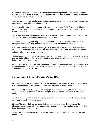We all have a comfort zone and all of us are very fond of our personal comfort zone. It is very, very tempting to just stick with doing the things that we have always done and doing them in the same way we have always done them.

However, staying in your comfort zone and refusing to expand your mind and your horizons can cause you and your internet business to fail.

There is an old saying (probably made up by someone who was afraid of trying new things) that says, "If it isn't broke, don't fix it." Well, 'it' doesn't have to be broken in order to be improved upon whatever 'it' is.

Candle light wasn't broken but we are all glad that electricity was harnessed. Electric light is still light but it is certainly a big improvement over candle light.

New ideas come along every day in the world of internet business. Some of those ideas are even good ones even if they do reside outside of our own personal comfort zone.

In order to continue to invest in yourself, you must be willing to leave your own comfort zone. Just because what has worked is still working it doesn't mean that there are not newer, better and more efficient ways of doing things.

Nobody is saying that new is always better. New is not always better but sometimes it is and the only way to tell which is which is by investigating new ideas yourself and then adapting the ones that can help you to your business.

Invest in yourself by increasing your knowledge and don't be afraid of trying new things and new ways of doing things. These things really are the secrets of success and not just in the world of internet business but in life itself.

#### <span id="page-12-0"></span>**The Razor Edge Difference Between Work and Deals**

Just about every internet marketer that I have ever known has worked at some kind of job other than internet marketing before they launched their internet marketing careers.

It is a funny thing about working at a job that pays you for the work that you do. You get into a 'work-equals- money' mindset. After all, when you work for others, work does, in fact, equal money.

But when you launch an internet marketing career the 'work' that used to make money for you now prevents you from making money.

It is true. The 'work' that you are doing that you once got paid to do, like answering the telephone, answering emails, filing papers, etc. is actually preventing you from making the deals that will put money in your pocket.

Yet we continue to seek work because we are programmed to think of work as the thing that makes money.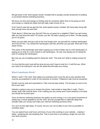We get stuck in the 'work-equals-money' mindset that is actually counter-productive to building a successful internet marketing business.

We focus our time and energy on finding work for ourselves rather than on focusing our time and energy on making the deals that will really make money for us.

It isn't hard to see why we get into this 'work-equals-money' mindset. We have been living with that concept since we were kids.

Think about it. What was your first job? Did you cut grass for a neighbor? Didn't you get money after you had done the work? Of course, you did. He wasn't paying you to think...he was paying you to cut grass.

When you got older and got a job at the local burger joint, you got paid for cooking hamburgers and French Fries. You cooked the hamburgers and fries and then you got paid. Word did in fact equal money.

The owner of the hamburger joint wasn't paying you to find a better way to cook hamburgers or paying you to look for a new market to sell hamburgers. He was only paying you for doing the work of cooking the hamburgers.

But now you are not getting paid for doing the 'work'. The work isn't what is making money for you.

It is true that the work must still be done but you don't have to look for it. It will find you. What you need to be looking for now are the deals that will make you money.

#### <span id="page-13-0"></span>**What Constitutes Work?**

What is 'work'? The 'work' that makes any business work is just the day to day activities that must be accomplished in order for the business to function. Telephone calls must be answered.

Emails must be read and responded to. Files must be kept orderly. The list goes on and on but this is just 'work'.

Nobody is going to pay you to answer the phone, read emails or keep files in order. That is simply 'work' that must be done. It isn't making you any money and it most certainly is not what you should be focused upon.

Once an internet marketing business has gotten up and running, it is a very good investment to simply pay a virtual assistant to do the 'work' and set yourself free to make the deals that actually make you money and make your internet marketing business thrive.

You can't do this right away, of course, but you can use as little of your time as possible on mundane tasks.

You can spend hours and hours and hours of your time working on your website....making it better...tweaking this and tweaking that. That is work that is not putting a single red cent into your bank account.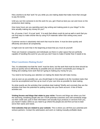Hire a techie to do that 'work' for you while you are making deals that make more than enough to pay the techie.

Until you can hire someone to do this work for you, get it fixed as best you can and move on the productive deal making.

How many hours are you spending each day writing and making posts to your blogs? Is this time actually making any money for you?

No, of course, it isn't. It is just 'work'. It is work that others could do just as well or work that you can find ways to make shorter like by using PLR materials rather than writing every word yourself.

Customer service is absolutely vital work that must be done. It must be done quickly and efficiently and above all competently.

It might even be work that in the beginning at least that you must do yourself.

There are however companies and individuals out there in cyber space that are perfectly capable of handling this work for you and you don't have to make it harder than it needs to be.

#### <span id="page-14-0"></span>**What Constitutes Making Deals?**

Yes, it is absolutely true that the 'work' must be done, but the work that must be done should be done as quickly and as efficiently as possible and you shouldn't concentrate your energy on finding and creating more work that isn't going to making any money for you.

You need to be focusing your attention on making the deals that will make money.

Just as soon as you possibly can, you should begin to hire people to do the mundane tasks that must be accomplished and free up as much of your own time as possible for deal making.

So what exactly are the activities that constitute deal making? Briefly and concisely they are the activities that have the potential for putting money into your bank account. A few of these activities are:

**Visiting forums and blogs that relate to your niche**: Forums and blogs are where you find the real living, breathing people who are YOUR potential customers and until somebody drags out their credit card, puts in their information and actually buys products or services from you, you haven't made a dime so you need to go where the people are and find out how to best serve their wants and needs.

**Visit websites that are related to your website**. This is where you will find your potential joint venture partners. Contact the webmasters and work on making mutually profitable deals.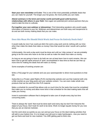**Start your own newsletter or E-zine**: This is one of the most potentially profitable deals that you can make for yourself. The longer your list grows, the more profits you can make.

**Attend seminars in the brick and mortar world and build good solid business relationships with others in your field**. Here again are potential joint venture partners that you need to take the time to cultivate.

**Put together your own webinar or teleseminar**: Find interesting speakers who would supply information of interest to your list. Webinars and teleseminars are both easy and inexpensive to do and are both money making deals that you can make.

# <span id="page-15-0"></span>**Does this Mean We Should Ditch Work And Focus On Entirely Deals Only?**

It would really be nice if we could just ditch the work-a-day-work and do nothing with our time other than make the deals that make us money! Now that would be what I would call a perfect world.

Unfortunately, the work-a-day-work must be done and until our 'ship comes in' we are probably going to be the ones who have to do that as well as make the deals that make us money.

As long as we are going to have to do both we can at least learn how to work smarter. We can learn how to get the same amount of 'work' accomplished in less time so that we can free up more time for making the deals that will make us money.

Some examples of working smarter are:

Write a FAQ page for your website and use your autoresponder to direct most questions to that site.

Subscribe to a Private Label Rights (PLR) membership website and use that material (with only a little rewrite) as your blog posts and your website content. You can even make whole new products that can be sold from this PLR material.

Make a schedule for yourself that allows only so much time for the tasks that must be completed that make you no money and allow more time in that schedule for the deal making tasks that will make you money.

Invest in automation software that is designed to take care of simple every day but time consuming tasks.

There is always the 'work' that must be done each and every day but don't let it become the object of your focus. Don't look for work to be done. Work no longer equals money for you now that you are an internet marketer.

Get the work done as quickly as you can and put your focus on the deal making activities that will add to your bottom line. It is no longer your job just to make hamburgers...now you need to get out there and look for new markets. You ARE getting paid to think now.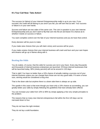# <span id="page-16-0"></span>**It's Your Call Now: Take Action!**

The success (or failure) of your Internet Entrepreneurship really is up to you now. If you succeed, the credit will all belong to you and if you fail, you will own that as well. Your success or failure is in your own hands.

Success and failure are two sides of the same coin. The coin in question is your own Internet Entrepreneurship and you don't want to flip that coin into the air and leave it to chance as to whether it lands on success or failure.

You want complete control over the fate of your Internet business and you do have that control.

Every decision will be yours to make.

If you make wise choices then you will claim victory and success will be yours.

If you make unwise choices then your internet business will crash and burn and your own hopes and dreams will go up in flames along with it.

# <span id="page-16-1"></span>**Beating the Odds**

You do realize, of course, that the odds for success are not in your favor. Every day thousands and thousands of internet business enterprises are launched. Of those internet businesses that will be launched today, 90% (ninety percent) will not be around in 120 days.

That is right! You have no better than a 10% chance of actually making a success out of your internet business unless you can change them those are not very good odds. If it were a horse race, winning would be considered a long shot.

That is the down side but anytime there is a down side there is always an up side.

The upside in this case is that even though you have only a 10% chance at succeeding, you can greatly better your odds by simply following the guidelines that have already been offered.

You can increase your odds from 10% to 90% by simply applying a few very simple principles to the problem.

The reasons that so many new Internet entrepreneurs fail within the first 120 days can be narrowed down to four.

They do not have the right mindset.

They do not lay a solid foundation.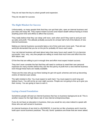They do not have the key to unlock growth and expansion.

They do not plan for success

# <span id="page-17-0"></span>**The Right Mindset for Success**

Unfortunately, so many people think that they can quit their jobs, open an internet business and just relax and enjoy life. They expect instant success and instant wealth without having to invest anything (even time and effort) to affect that success.

They really believe that they can sleep until noon, work when and if they want to and just rack up sales and profit. This attitude probably accounts for at least half of all of the failures of new internet businesses.

Making an internet business successful takes a lot of time and even more work. That old real world job demanded that you be on the job for probably 40 hours each week.

Your net internet business will need about twice that many hours each week if it is to become successful. Very, very, very few people are willing to invest that much time and effort thus the 90% failure rate.

Of the few that are willing to put in enough time and effort most expect instant success.

They don't even consider the fact that they will need to continue to meet their own personal expenses for many months before they see the first penny of profit from a new internet business even though those facts are readily available.

These are the ones who go out there looking for get-rich-quick schemes and end up becoming victims of internet scam artists.

The right mindset is this: You must expect to work hard. You must expect to work long and tedious hours. You will not be an over-night success. People are not going to line up to give you their money. You are going to have to earn it.

#### <span id="page-17-1"></span>**Laying a Sound Foundation**

Sometimes people will start an internet business that has no business background at all. This is another reason for the high failure rate of new internet entrepreneurships.

If you do not have an education in business, then you would be very wise indeed to speak with those who are well versed in business.

An internet business of any kind is a BUSINESS. It must be run like a business and it must be build upon sound business practices. The only 'dumb' questions are those that are never asked.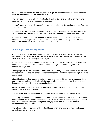You need information and the best way there is to get the information that you need is to simply ask questions of those who have the answers.

There are courses available both out in the brick and mortar world as well as on the internet about how to set up and run a successful business.

You can't abide by the rules if you don't know what the rules are. Do your homework before you launch you business.

You need to lay a rock solid foundation so that your new business doesn't become one of the casualties that are caused by poor planning or even no planning. You need a business plan.

You need a business model and it needs to be one that you can understand and follow. Jumping in and hoping for the best isn't a plan. That will only insure that your new internet business will not still be in existence four months from now.

## <span id="page-18-0"></span>**Unlocking Growth and Expansion**

Nothing in this world ever stays the same. The only absolute certainty is change. Internet business is not an exception to this rule. As a matter of fact, business on the internet changes faster than just about anything you can imagine.

Another reason that so many new internet businesses don't survive for very long is that a new e-entrepreneur will start a business based upon one single idea and never grow or expand beyond that single idea.

These people have what I sometimes call 'tunnel vision'. They don't look around at the internet business landscape and make the necessary changes that keep them visible and a player in the market place.

Internet businesses themselves will naturally grow and expand if the owner or manager of the business grows and expands his knowledge and is willing to adapt to the inevitable changes that take place on a daily basis in Internet business.

It is simply good business to invest a minimum of 5% of your time and your income back into yourself. You ARE your business.

I've heard the term 'continuing education' tossed about like it was a choice to be made.

Continuing education is not a choice if a business is to be successful. The 10% of new internet businesses that will still be around after the next 120 days will be owned or managed by people who are constantly learning new things and applying those new things to the internet businesses that they operate.

They attend real world seminars. They attend teleseminars and webinars. They read multiple newsletters every single day.